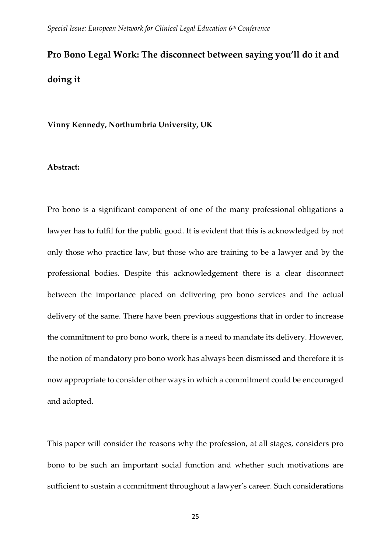# **Pro Bono Legal Work: The disconnect between saying you'll do it and doing it**

**Vinny Kennedy, Northumbria University, UK**

#### **Abstract:**

Pro bono is a significant component of one of the many professional obligations a lawyer has to fulfil for the public good. It is evident that this is acknowledged by not only those who practice law, but those who are training to be a lawyer and by the professional bodies. Despite this acknowledgement there is a clear disconnect between the importance placed on delivering pro bono services and the actual delivery of the same. There have been previous suggestions that in order to increase the commitment to pro bono work, there is a need to mandate its delivery. However, the notion of mandatory pro bono work has always been dismissed and therefore it is now appropriate to consider other ways in which a commitment could be encouraged and adopted.

This paper will consider the reasons why the profession, at all stages, considers pro bono to be such an important social function and whether such motivations are sufficient to sustain a commitment throughout a lawyer's career. Such considerations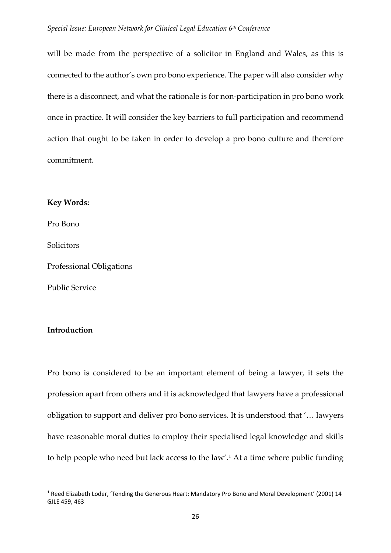will be made from the perspective of a solicitor in England and Wales, as this is connected to the author's own pro bono experience. The paper will also consider why there is a disconnect, and what the rationale is for non-participation in pro bono work once in practice. It will consider the key barriers to full participation and recommend action that ought to be taken in order to develop a pro bono culture and therefore commitment.

#### **Key Words:**

Pro Bono

Solicitors

Professional Obligations

Public Service

### **Introduction**

Pro bono is considered to be an important element of being a lawyer, it sets the profession apart from others and it is acknowledged that lawyers have a professional obligation to support and deliver pro bono services. It is understood that '… lawyers have reasonable moral duties to employ their specialised legal knowledge and skills to help people who need but lack access to the law'. [1](#page-1-0) At a time where public funding

<span id="page-1-0"></span> <sup>1</sup> Reed Elizabeth Loder, 'Tending the Generous Heart: Mandatory Pro Bono and Moral Development' (2001) 14 GJLE 459, 463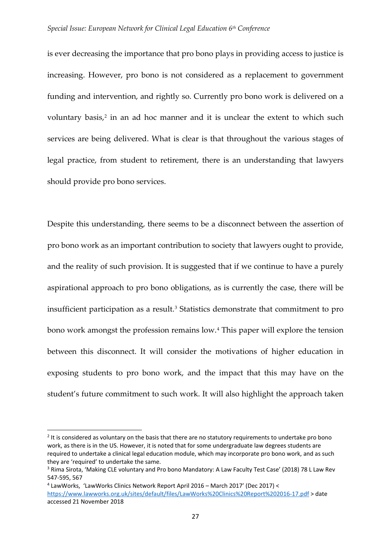#### *Special Issue: European Network for Clinical Legal Education 6th Conference*

is ever decreasing the importance that pro bono plays in providing access to justice is increasing. However, pro bono is not considered as a replacement to government funding and intervention, and rightly so. Currently pro bono work is delivered on a voluntary basis,<sup>[2](#page-2-0)</sup> in an ad hoc manner and it is unclear the extent to which such services are being delivered. What is clear is that throughout the various stages of legal practice, from student to retirement, there is an understanding that lawyers should provide pro bono services.

Despite this understanding, there seems to be a disconnect between the assertion of pro bono work as an important contribution to society that lawyers ought to provide, and the reality of such provision. It is suggested that if we continue to have a purely aspirational approach to pro bono obligations, as is currently the case, there will be insufficient participation as a result.<sup>[3](#page-2-1)</sup> Statistics demonstrate that commitment to pro bono work amongst the profession remains low.[4](#page-2-2) This paper will explore the tension between this disconnect. It will consider the motivations of higher education in exposing students to pro bono work, and the impact that this may have on the student's future commitment to such work. It will also highlight the approach taken

<span id="page-2-0"></span><sup>&</sup>lt;sup>2</sup> It is considered as voluntary on the basis that there are no statutory requirements to undertake pro bono work, as there is in the US. However, it is noted that for some undergraduate law degrees students are required to undertake a clinical legal education module, which may incorporate pro bono work, and as such they are 'required' to undertake the same.

<span id="page-2-1"></span><sup>&</sup>lt;sup>3</sup> Rima Sirota, 'Making CLE voluntary and Pro bono Mandatory: A Law Faculty Test Case' (2018) 78 L Law Rev 547-595, 567

<span id="page-2-2"></span><sup>4</sup> LawWorks, 'LawWorks Clinics Network Report April 2016 – March 2017' (Dec 2017) < <https://www.lawworks.org.uk/sites/default/files/LawWorks%20Clinics%20Report%202016-17.pdf> > date accessed 21 November 2018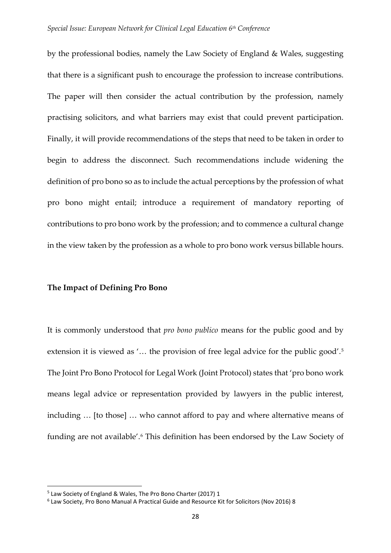by the professional bodies, namely the Law Society of England & Wales, suggesting that there is a significant push to encourage the profession to increase contributions. The paper will then consider the actual contribution by the profession, namely practising solicitors, and what barriers may exist that could prevent participation. Finally, it will provide recommendations of the steps that need to be taken in order to begin to address the disconnect. Such recommendations include widening the definition of pro bono so as to include the actual perceptions by the profession of what pro bono might entail; introduce a requirement of mandatory reporting of contributions to pro bono work by the profession; and to commence a cultural change in the view taken by the profession as a whole to pro bono work versus billable hours.

#### **The Impact of Defining Pro Bono**

It is commonly understood that *pro bono publico* means for the public good and by extension it is viewed as '... the provision of free legal advice for the public good'.<sup>[5](#page-3-0)</sup> The Joint Pro Bono Protocol for Legal Work (Joint Protocol) states that 'pro bono work means legal advice or representation provided by lawyers in the public interest, including … [to those] … who cannot afford to pay and where alternative means of funding are not available'. [6](#page-3-1) This definition has been endorsed by the Law Society of

<span id="page-3-0"></span> <sup>5</sup> Law Society of England & Wales, The Pro Bono Charter (2017) 1

<span id="page-3-1"></span><sup>6</sup> Law Society, Pro Bono Manual A Practical Guide and Resource Kit for Solicitors (Nov 2016) 8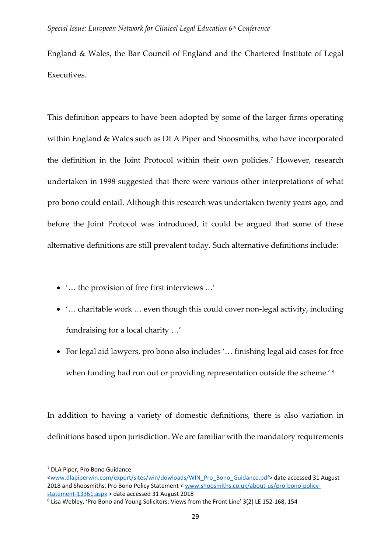England & Wales, the Bar Council of England and the Chartered Institute of Legal Executives.

This definition appears to have been adopted by some of the larger firms operating within England & Wales such as DLA Piper and Shoosmiths, who have incorporated the definition in the Joint Protocol within their own policies.<sup>[7](#page-4-0)</sup> However, research undertaken in 1998 suggested that there were various other interpretations of what pro bono could entail. Although this research was undertaken twenty years ago, and before the Joint Protocol was introduced, it could be argued that some of these alternative definitions are still prevalent today. Such alternative definitions include:

- '… the provision of free first interviews …'
- '... charitable work ... even though this could cover non-legal activity, including fundraising for a local charity …'
- For legal aid lawyers, pro bono also includes '… finishing legal aid cases for free when funding had run out or providing representation outside the scheme.<sup>'[8](#page-4-1)</sup>

In addition to having a variety of domestic definitions, there is also variation in definitions based upon jurisdiction. We are familiar with the mandatory requirements

<span id="page-4-0"></span> <sup>7</sup> DLA Piper, Pro Bono Guidance

[<sup>&</sup>lt;www.dlapiperwin.com/export/sites/win/dowloads/WIN\\_Pro\\_Bono\\_Guidance.pdf>](http://www.dlapiperwin.com/export/sites/win/dowloads/WIN_Pro_Bono_Guidance.pdf) date accessed 31 August 2018 and Shoosmiths, Pro Bono Policy Statement < [www.shoosmiths.co.uk/about-us/pro-bono-policy](http://www.shoosmiths.co.uk/about-us/pro-bono-policy-statement-13361.aspx)[statement-13361.aspx](http://www.shoosmiths.co.uk/about-us/pro-bono-policy-statement-13361.aspx) > date accessed 31 August 2018

<span id="page-4-1"></span><sup>8</sup> Lisa Webley, 'Pro Bono and Young Solicitors: Views from the Front Line' 3(2) LE 152-168, 154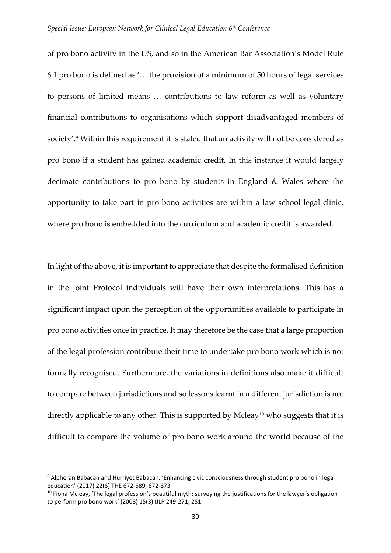of pro bono activity in the US, and so in the American Bar Association's Model Rule 6.1 pro bono is defined as '… the provision of a minimum of 50 hours of legal services to persons of limited means … contributions to law reform as well as voluntary financial contributions to organisations which support disadvantaged members of society'. [9](#page-5-0) Within this requirement it is stated that an activity will not be considered as pro bono if a student has gained academic credit. In this instance it would largely decimate contributions to pro bono by students in England & Wales where the opportunity to take part in pro bono activities are within a law school legal clinic, where pro bono is embedded into the curriculum and academic credit is awarded.

In light of the above, it is important to appreciate that despite the formalised definition in the Joint Protocol individuals will have their own interpretations. This has a significant impact upon the perception of the opportunities available to participate in pro bono activities once in practice. It may therefore be the case that a large proportion of the legal profession contribute their time to undertake pro bono work which is not formally recognised. Furthermore, the variations in definitions also make it difficult to compare between jurisdictions and so lessons learnt in a different jurisdiction is not directly applicable to any other. This is supported by Mcleay<sup>[10](#page-5-1)</sup> who suggests that it is difficult to compare the volume of pro bono work around the world because of the

<span id="page-5-0"></span> <sup>9</sup> Alpheran Babacan and Hurriyet Babacan, 'Enhancing civic consciousness through student pro bono in legal education' (2017) 22(6) THE 672-689, 672-673

<span id="page-5-1"></span> $10$  Fiona Mcleay, 'The legal profession's beautiful myth: surveying the justifications for the lawyer's obligation to perform pro bono work' (2008) 15(3) IJLP 249-271, 251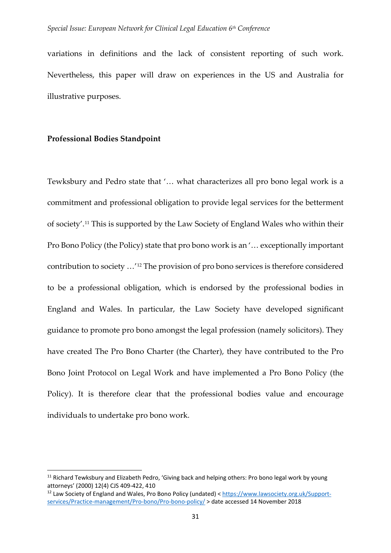variations in definitions and the lack of consistent reporting of such work. Nevertheless, this paper will draw on experiences in the US and Australia for illustrative purposes.

#### **Professional Bodies Standpoint**

Tewksbury and Pedro state that '… what characterizes all pro bono legal work is a commitment and professional obligation to provide legal services for the betterment of society'.[11](#page-6-0) This is supported by the Law Society of England Wales who within their Pro Bono Policy (the Policy) state that pro bono work is an '… exceptionally important contribution to society …'[12](#page-6-1) The provision of pro bono services is therefore considered to be a professional obligation, which is endorsed by the professional bodies in England and Wales. In particular, the Law Society have developed significant guidance to promote pro bono amongst the legal profession (namely solicitors). They have created The Pro Bono Charter (the Charter), they have contributed to the Pro Bono Joint Protocol on Legal Work and have implemented a Pro Bono Policy (the Policy). It is therefore clear that the professional bodies value and encourage individuals to undertake pro bono work.

<span id="page-6-0"></span><sup>&</sup>lt;sup>11</sup> Richard Tewksbury and Elizabeth Pedro, 'Giving back and helping others: Pro bono legal work by young attorneys' (2000) 12(4) CJS 409-422, 410

<span id="page-6-1"></span><sup>12</sup> Law Society of England and Wales, Pro Bono Policy (undated) [< https://www.lawsociety.org.uk/Support](https://www.lawsociety.org.uk/Support-services/Practice-management/Pro-bono/Pro-bono-policy/)[services/Practice-management/Pro-bono/Pro-bono-policy/](https://www.lawsociety.org.uk/Support-services/Practice-management/Pro-bono/Pro-bono-policy/) > date accessed 14 November 2018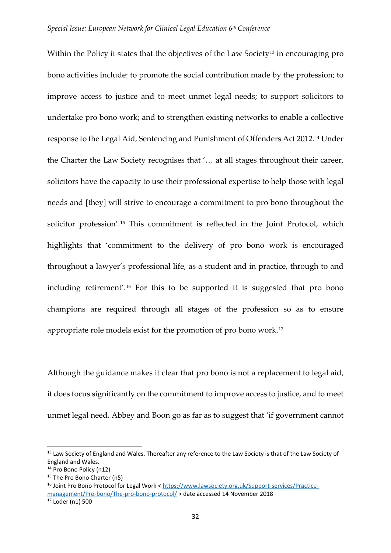Within the Policy it states that the objectives of the Law Society<sup>[13](#page-7-0)</sup> in encouraging pro bono activities include: to promote the social contribution made by the profession; to improve access to justice and to meet unmet legal needs; to support solicitors to undertake pro bono work; and to strengthen existing networks to enable a collective response to the Legal Aid, Sentencing and Punishment of Offenders Act 2012.[14](#page-7-1) Under the Charter the Law Society recognises that '… at all stages throughout their career, solicitors have the capacity to use their professional expertise to help those with legal needs and [they] will strive to encourage a commitment to pro bono throughout the solicitor profession'.[15](#page-7-2) This commitment is reflected in the Joint Protocol, which highlights that 'commitment to the delivery of pro bono work is encouraged throughout a lawyer's professional life, as a student and in practice, through to and including retirement'.[16](#page-7-3) For this to be supported it is suggested that pro bono champions are required through all stages of the profession so as to ensure appropriate role models exist for the promotion of pro bono work.[17](#page-7-4)

Although the guidance makes it clear that pro bono is not a replacement to legal aid, it does focus significantly on the commitment to improve access to justice, and to meet unmet legal need. Abbey and Boon go as far as to suggest that 'if government cannot

<span id="page-7-0"></span><sup>&</sup>lt;sup>13</sup> Law Society of England and Wales. Thereafter any reference to the Law Society is that of the Law Society of England and Wales.

<span id="page-7-1"></span><sup>&</sup>lt;sup>14</sup> Pro Bono Policy (n12)

<span id="page-7-3"></span><span id="page-7-2"></span><sup>&</sup>lt;sup>15</sup> The Pro Bono Charter (n5)<br><sup>16</sup> Joint Pro Bono Protocol for Legal Work < [https://www.lawsociety.org.uk/Support-services/Practice](https://www.lawsociety.org.uk/Support-services/Practice-management/Pro-bono/The-pro-bono-protocol/)[management/Pro-bono/The-pro-bono-protocol/](https://www.lawsociety.org.uk/Support-services/Practice-management/Pro-bono/The-pro-bono-protocol/) > date accessed 14 November 2018

<span id="page-7-4"></span> $17$  Loder (n1) 500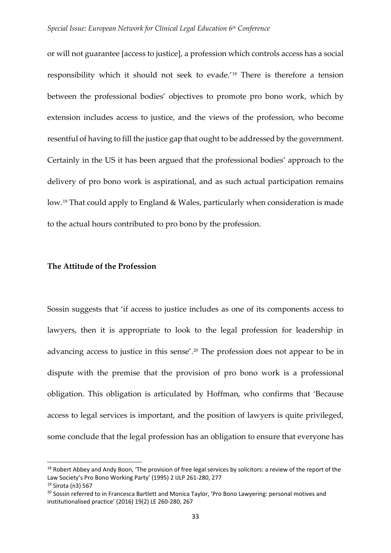or will not guarantee [access to justice], a profession which controls access has a social responsibility which it should not seek to evade.'[18](#page-8-0) There is therefore a tension between the professional bodies' objectives to promote pro bono work, which by extension includes access to justice, and the views of the profession, who become resentful of having to fill the justice gap that ought to be addressed by the government. Certainly in the US it has been argued that the professional bodies' approach to the delivery of pro bono work is aspirational, and as such actual participation remains low.[19](#page-8-1) That could apply to England & Wales, particularly when consideration is made to the actual hours contributed to pro bono by the profession.

## **The Attitude of the Profession**

Sossin suggests that 'if access to justice includes as one of its components access to lawyers, then it is appropriate to look to the legal profession for leadership in advancing access to justice in this sense'.[20](#page-8-2) The profession does not appear to be in dispute with the premise that the provision of pro bono work is a professional obligation. This obligation is articulated by Hoffman, who confirms that 'Because access to legal services is important, and the position of lawyers is quite privileged, some conclude that the legal profession has an obligation to ensure that everyone has

<span id="page-8-0"></span><sup>&</sup>lt;sup>18</sup> Robert Abbey and Andy Boon, 'The provision of free legal services by solicitors: a review of the report of the Law Society's Pro Bono Working Party' (1995) 2 IJLP 261-280, 277

<span id="page-8-1"></span><sup>19</sup> Sirota (n3) 567

<span id="page-8-2"></span><sup>&</sup>lt;sup>20</sup> Sossin referred to in Francesca Bartlett and Monica Taylor, 'Pro Bono Lawyering: personal motives and institutionalised practice' (2016) 19(2) LE 260-280, 267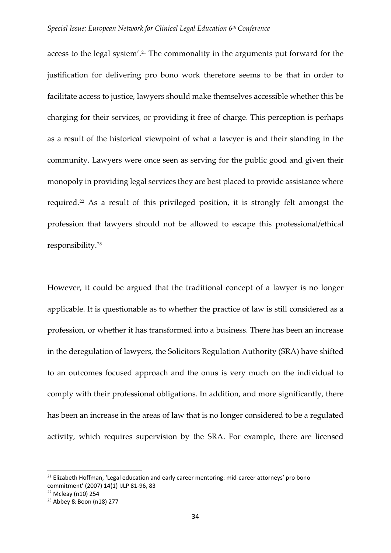access to the legal system'.[21](#page-9-0) The commonality in the arguments put forward for the justification for delivering pro bono work therefore seems to be that in order to facilitate access to justice, lawyers should make themselves accessible whether this be charging for their services, or providing it free of charge. This perception is perhaps as a result of the historical viewpoint of what a lawyer is and their standing in the community. Lawyers were once seen as serving for the public good and given their monopoly in providing legal services they are best placed to provide assistance where required.[22](#page-9-1) As a result of this privileged position, it is strongly felt amongst the profession that lawyers should not be allowed to escape this professional/ethical responsibility.[23](#page-9-2)

However, it could be argued that the traditional concept of a lawyer is no longer applicable. It is questionable as to whether the practice of law is still considered as a profession, or whether it has transformed into a business. There has been an increase in the deregulation of lawyers, the Solicitors Regulation Authority (SRA) have shifted to an outcomes focused approach and the onus is very much on the individual to comply with their professional obligations. In addition, and more significantly, there has been an increase in the areas of law that is no longer considered to be a regulated activity, which requires supervision by the SRA. For example, there are licensed

<span id="page-9-0"></span><sup>&</sup>lt;sup>21</sup> Elizabeth Hoffman, 'Legal education and early career mentoring: mid-career attorneys' pro bono commitment' (2007) 14(1) IJLP 81-96, 83

<span id="page-9-1"></span><sup>22</sup> Mcleay (n10) 254

<span id="page-9-2"></span><sup>23</sup> Abbey & Boon (n18) 277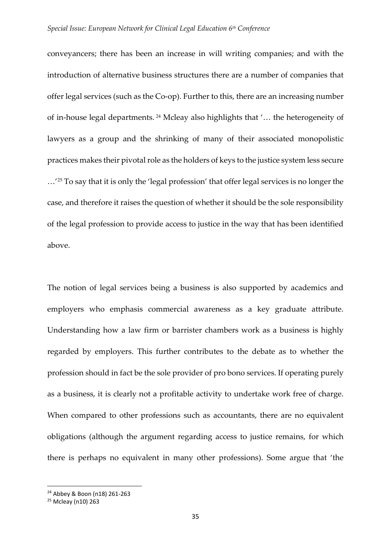conveyancers; there has been an increase in will writing companies; and with the introduction of alternative business structures there are a number of companies that offer legal services (such as the Co-op). Further to this, there are an increasing number of in-house legal departments. [24](#page-10-0) Mcleay also highlights that '… the heterogeneity of lawyers as a group and the shrinking of many of their associated monopolistic practices makes their pivotal role as the holders of keys to the justice system less secure …'[25](#page-10-1) To say that it is only the 'legal profession' that offer legal services is no longer the case, and therefore it raises the question of whether it should be the sole responsibility of the legal profession to provide access to justice in the way that has been identified above.

The notion of legal services being a business is also supported by academics and employers who emphasis commercial awareness as a key graduate attribute. Understanding how a law firm or barrister chambers work as a business is highly regarded by employers. This further contributes to the debate as to whether the profession should in fact be the sole provider of pro bono services. If operating purely as a business, it is clearly not a profitable activity to undertake work free of charge. When compared to other professions such as accountants, there are no equivalent obligations (although the argument regarding access to justice remains, for which there is perhaps no equivalent in many other professions). Some argue that 'the

<span id="page-10-0"></span> <sup>24</sup> Abbey & Boon (n18) 261-263

<span id="page-10-1"></span><sup>25</sup> Mcleay (n10) 263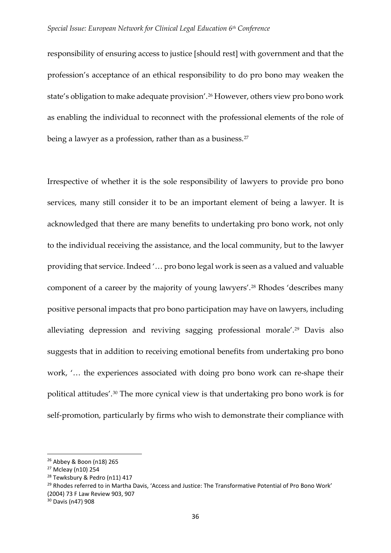responsibility of ensuring access to justice [should rest] with government and that the profession's acceptance of an ethical responsibility to do pro bono may weaken the state's obligation to make adequate provision'.[26](#page-11-0) However, others view pro bono work as enabling the individual to reconnect with the professional elements of the role of being a lawyer as a profession, rather than as a business.<sup>[27](#page-11-1)</sup>

Irrespective of whether it is the sole responsibility of lawyers to provide pro bono services, many still consider it to be an important element of being a lawyer. It is acknowledged that there are many benefits to undertaking pro bono work, not only to the individual receiving the assistance, and the local community, but to the lawyer providing that service. Indeed '… pro bono legal work is seen as a valued and valuable component of a career by the majority of young lawyers'.[28](#page-11-2) Rhodes 'describes many positive personal impacts that pro bono participation may have on lawyers, including alleviating depression and reviving sagging professional morale'.<sup>[29](#page-11-3)</sup> Davis also suggests that in addition to receiving emotional benefits from undertaking pro bono work, '… the experiences associated with doing pro bono work can re-shape their political attitudes'.[30](#page-11-4) The more cynical view is that undertaking pro bono work is for self-promotion, particularly by firms who wish to demonstrate their compliance with

<span id="page-11-0"></span> <sup>26</sup> Abbey & Boon (n18) 265

<span id="page-11-1"></span><sup>27</sup> Mcleay (n10) 254

<span id="page-11-2"></span><sup>&</sup>lt;sup>28</sup> Tewksbury & Pedro (n11) 417

<span id="page-11-3"></span><sup>&</sup>lt;sup>29</sup> Rhodes referred to in Martha Davis, 'Access and Justice: The Transformative Potential of Pro Bono Work' (2004) 73 F Law Review 903, 907

<span id="page-11-4"></span><sup>30</sup> Davis (n47) 908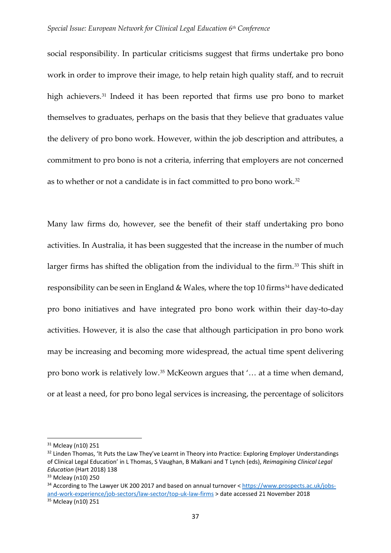social responsibility. In particular criticisms suggest that firms undertake pro bono work in order to improve their image, to help retain high quality staff, and to recruit high achievers.<sup>[31](#page-12-0)</sup> Indeed it has been reported that firms use pro bono to market themselves to graduates, perhaps on the basis that they believe that graduates value the delivery of pro bono work. However, within the job description and attributes, a commitment to pro bono is not a criteria, inferring that employers are not concerned as to whether or not a candidate is in fact committed to pro bono work.[32](#page-12-1)

Many law firms do, however, see the benefit of their staff undertaking pro bono activities. In Australia, it has been suggested that the increase in the number of much larger firms has shifted the obligation from the individual to the firm.<sup>[33](#page-12-2)</sup> This shift in responsibility can be seen in England & Wales, where the top 10 firms<sup>[34](#page-12-3)</sup> have dedicated pro bono initiatives and have integrated pro bono work within their day-to-day activities. However, it is also the case that although participation in pro bono work may be increasing and becoming more widespread, the actual time spent delivering pro bono work is relatively low.[35](#page-12-4) McKeown argues that '… at a time when demand, or at least a need, for pro bono legal services is increasing, the percentage of solicitors

<span id="page-12-0"></span> <sup>31</sup> Mcleay (n10) 251

<span id="page-12-1"></span><sup>&</sup>lt;sup>32</sup> Linden Thomas, 'It Puts the Law They've Learnt in Theory into Practice: Exploring Employer Understandings of Clinical Legal Education' in L Thomas, S Vaughan, B Malkani and T Lynch (eds), *Reimagining Clinical Legal Education* (Hart 2018) 138

<span id="page-12-2"></span><sup>33</sup> Mcleay (n10) 250

<span id="page-12-4"></span><span id="page-12-3"></span><sup>34</sup> According to The Lawyer UK 200 2017 and based on annual turnover < [https://www.prospects.ac.uk/jobs](https://www.prospects.ac.uk/jobs-and-work-experience/job-sectors/law-sector/top-uk-law-firms)[and-work-experience/job-sectors/law-sector/top-uk-law-firms](https://www.prospects.ac.uk/jobs-and-work-experience/job-sectors/law-sector/top-uk-law-firms) > date accessed 21 November 2018 <sup>35</sup> Mcleay (n10) 251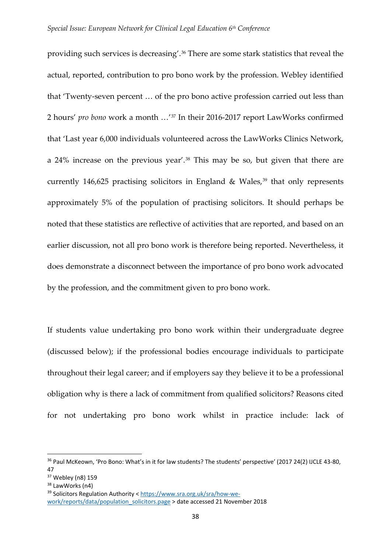providing such services is decreasing'.[36](#page-13-0) There are some stark statistics that reveal the actual, reported, contribution to pro bono work by the profession. Webley identified that 'Twenty-seven percent … of the pro bono active profession carried out less than 2 hours' *pro bono* work a month …'[37](#page-13-1) In their 2016-2017 report LawWorks confirmed that 'Last year 6,000 individuals volunteered across the LawWorks Clinics Network, a 24% increase on the previous year'.[38](#page-13-2) This may be so, but given that there are currently 146,625 practising solicitors in England & Wales, $39$  that only represents approximately 5% of the population of practising solicitors. It should perhaps be noted that these statistics are reflective of activities that are reported, and based on an earlier discussion, not all pro bono work is therefore being reported. Nevertheless, it does demonstrate a disconnect between the importance of pro bono work advocated by the profession, and the commitment given to pro bono work.

If students value undertaking pro bono work within their undergraduate degree (discussed below); if the professional bodies encourage individuals to participate throughout their legal career; and if employers say they believe it to be a professional obligation why is there a lack of commitment from qualified solicitors? Reasons cited for not undertaking pro bono work whilst in practice include: lack of

<span id="page-13-0"></span><sup>&</sup>lt;sup>36</sup> Paul McKeown, 'Pro Bono: What's in it for law students? The students' perspective' (2017 24(2) IJCLE 43-80, 47

<span id="page-13-1"></span> $37$  Webley (n8) 159<br> $38$  LawWorks (n4)

<span id="page-13-2"></span>

<span id="page-13-3"></span><sup>&</sup>lt;sup>39</sup> Solicitors Regulation Authority < [https://www.sra.org.uk/sra/how-we](https://www.sra.org.uk/sra/how-we-work/reports/data/population_solicitors.page)[work/reports/data/population\\_solicitors.page](https://www.sra.org.uk/sra/how-we-work/reports/data/population_solicitors.page) > date accessed 21 November 2018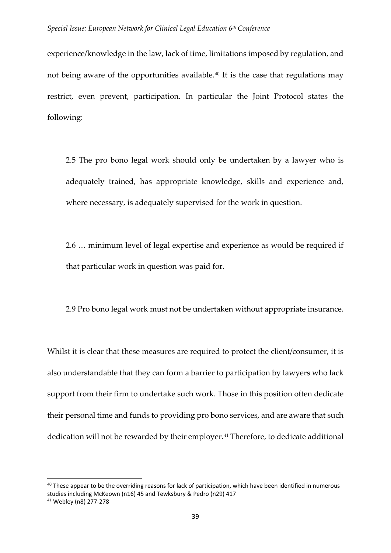experience/knowledge in the law, lack of time, limitations imposed by regulation, and not being aware of the opportunities available.[40](#page-14-0) It is the case that regulations may restrict, even prevent, participation. In particular the Joint Protocol states the following:

2.5 The pro bono legal work should only be undertaken by a lawyer who is adequately trained, has appropriate knowledge, skills and experience and, where necessary, is adequately supervised for the work in question.

2.6 … minimum level of legal expertise and experience as would be required if that particular work in question was paid for.

2.9 Pro bono legal work must not be undertaken without appropriate insurance.

Whilst it is clear that these measures are required to protect the client/consumer, it is also understandable that they can form a barrier to participation by lawyers who lack support from their firm to undertake such work. Those in this position often dedicate their personal time and funds to providing pro bono services, and are aware that such dedication will not be rewarded by their employer.<sup>[41](#page-14-1)</sup> Therefore, to dedicate additional

<span id="page-14-0"></span><sup>&</sup>lt;sup>40</sup> These appear to be the overriding reasons for lack of participation, which have been identified in numerous studies including McKeown (n16) 45 and Tewksbury & Pedro (n29) 417

<span id="page-14-1"></span><sup>41</sup> Webley (n8) 277-278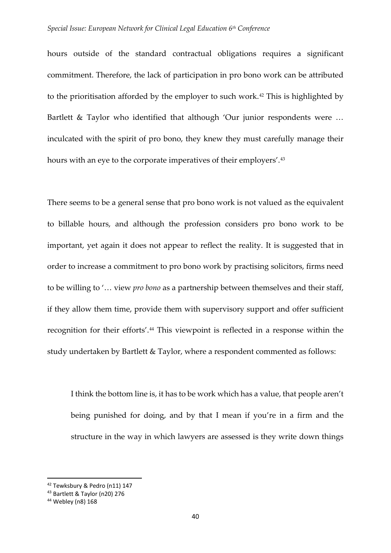#### *Special Issue: European Network for Clinical Legal Education 6th Conference*

hours outside of the standard contractual obligations requires a significant commitment. Therefore, the lack of participation in pro bono work can be attributed to the prioritisation afforded by the employer to such work.<sup>[42](#page-15-0)</sup> This is highlighted by Bartlett & Taylor who identified that although 'Our junior respondents were … inculcated with the spirit of pro bono, they knew they must carefully manage their hours with an eye to the corporate imperatives of their employers'.<sup>[43](#page-15-1)</sup>

There seems to be a general sense that pro bono work is not valued as the equivalent to billable hours, and although the profession considers pro bono work to be important, yet again it does not appear to reflect the reality. It is suggested that in order to increase a commitment to pro bono work by practising solicitors, firms need to be willing to '… view *pro bono* as a partnership between themselves and their staff, if they allow them time, provide them with supervisory support and offer sufficient recognition for their efforts'.<sup>44</sup> This viewpoint is reflected in a response within the study undertaken by Bartlett & Taylor, where a respondent commented as follows:

I think the bottom line is, it has to be work which has a value, that people aren't being punished for doing, and by that I mean if you're in a firm and the structure in the way in which lawyers are assessed is they write down things

<span id="page-15-0"></span> <sup>42</sup> Tewksbury & Pedro (n11) 147

<span id="page-15-1"></span><sup>43</sup> Bartlett & Taylor (n20) 276

<span id="page-15-2"></span><sup>44</sup> Webley (n8) 168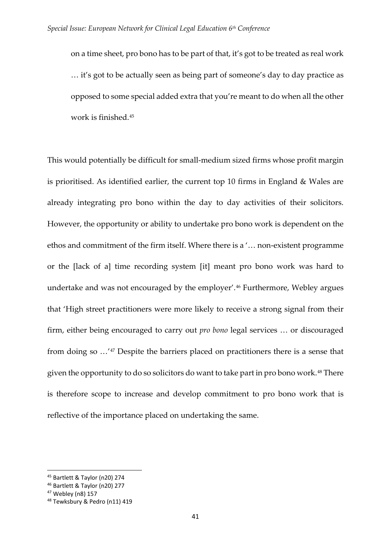on a time sheet, pro bono has to be part of that, it's got to be treated as real work … it's got to be actually seen as being part of someone's day to day practice as opposed to some special added extra that you're meant to do when all the other work is finished.[45](#page-16-0)

This would potentially be difficult for small-medium sized firms whose profit margin is prioritised. As identified earlier, the current top 10 firms in England & Wales are already integrating pro bono within the day to day activities of their solicitors. However, the opportunity or ability to undertake pro bono work is dependent on the ethos and commitment of the firm itself. Where there is a '… non-existent programme or the [lack of a] time recording system [it] meant pro bono work was hard to undertake and was not encouraged by the employer'.[46](#page-16-1) Furthermore, Webley argues that 'High street practitioners were more likely to receive a strong signal from their firm, either being encouraged to carry out *pro bono* legal services … or discouraged from doing so …'[47](#page-16-2) Despite the barriers placed on practitioners there is a sense that given the opportunity to do so solicitors do want to take part in pro bono work.[48](#page-16-3) There is therefore scope to increase and develop commitment to pro bono work that is reflective of the importance placed on undertaking the same.

<span id="page-16-0"></span> <sup>45</sup> Bartlett & Taylor (n20) 274

<span id="page-16-1"></span><sup>46</sup> Bartlett & Taylor (n20) 277

<span id="page-16-2"></span><sup>47</sup> Webley (n8) 157

<span id="page-16-3"></span><sup>48</sup> Tewksbury & Pedro (n11) 419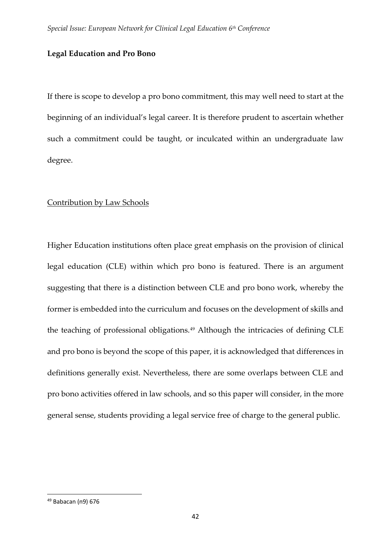# **Legal Education and Pro Bono**

If there is scope to develop a pro bono commitment, this may well need to start at the beginning of an individual's legal career. It is therefore prudent to ascertain whether such a commitment could be taught, or inculcated within an undergraduate law degree.

# Contribution by Law Schools

Higher Education institutions often place great emphasis on the provision of clinical legal education (CLE) within which pro bono is featured. There is an argument suggesting that there is a distinction between CLE and pro bono work, whereby the former is embedded into the curriculum and focuses on the development of skills and the teaching of professional obligations.<sup>[49](#page-17-0)</sup> Although the intricacies of defining CLE and pro bono is beyond the scope of this paper, it is acknowledged that differences in definitions generally exist. Nevertheless, there are some overlaps between CLE and pro bono activities offered in law schools, and so this paper will consider, in the more general sense, students providing a legal service free of charge to the general public.

<span id="page-17-0"></span> <sup>49</sup> Babacan (n9) 676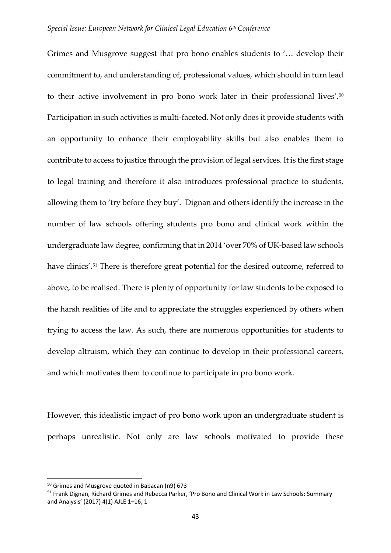Grimes and Musgrove suggest that pro bono enables students to '… develop their commitment to, and understanding of, professional values, which should in turn lead to their active involvement in pro bono work later in their professional lives'.<sup>[50](#page-18-0)</sup> Participation in such activities is multi-faceted. Not only does it provide students with an opportunity to enhance their employability skills but also enables them to contribute to access to justice through the provision of legal services. It is the first stage to legal training and therefore it also introduces professional practice to students, allowing them to 'try before they buy'. Dignan and others identify the increase in the number of law schools offering students pro bono and clinical work within the undergraduate law degree, confirming that in 2014 'over 70% of UK-based law schools have clinics'.<sup>[51](#page-18-1)</sup> There is therefore great potential for the desired outcome, referred to above, to be realised. There is plenty of opportunity for law students to be exposed to the harsh realities of life and to appreciate the struggles experienced by others when trying to access the law. As such, there are numerous opportunities for students to develop altruism, which they can continue to develop in their professional careers, and which motivates them to continue to participate in pro bono work.

However, this idealistic impact of pro bono work upon an undergraduate student is perhaps unrealistic. Not only are law schools motivated to provide these

<span id="page-18-0"></span> <sup>50</sup> Grimes and Musgrove quoted in Babacan (n9) 673

<span id="page-18-1"></span><sup>51</sup> Frank Dignan, Richard Grimes and Rebecca Parker, 'Pro Bono and Clinical Work in Law Schools: Summary and Analysis' (2017) 4(1) AJLE 1–16, 1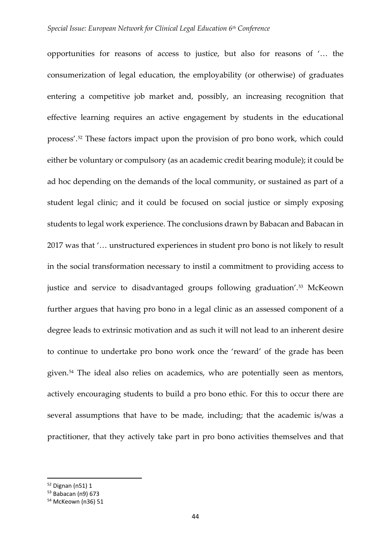#### *Special Issue: European Network for Clinical Legal Education 6th Conference*

opportunities for reasons of access to justice, but also for reasons of '… the consumerization of legal education, the employability (or otherwise) of graduates entering a competitive job market and, possibly, an increasing recognition that effective learning requires an active engagement by students in the educational process'. [52](#page-19-0) These factors impact upon the provision of pro bono work, which could either be voluntary or compulsory (as an academic credit bearing module); it could be ad hoc depending on the demands of the local community, or sustained as part of a student legal clinic; and it could be focused on social justice or simply exposing students to legal work experience. The conclusions drawn by Babacan and Babacan in 2017 was that '… unstructured experiences in student pro bono is not likely to result in the social transformation necessary to instil a commitment to providing access to justice and service to disadvantaged groups following graduation'.<sup>[53](#page-19-1)</sup> McKeown further argues that having pro bono in a legal clinic as an assessed component of a degree leads to extrinsic motivation and as such it will not lead to an inherent desire to continue to undertake pro bono work once the 'reward' of the grade has been given.[54](#page-19-2) The ideal also relies on academics, who are potentially seen as mentors, actively encouraging students to build a pro bono ethic. For this to occur there are several assumptions that have to be made, including; that the academic is/was a practitioner, that they actively take part in pro bono activities themselves and that

<span id="page-19-0"></span> <sup>52</sup> Dignan (n51) 1

<span id="page-19-1"></span><sup>53</sup> Babacan (n9) 673

<span id="page-19-2"></span><sup>54</sup> McKeown (n36) 51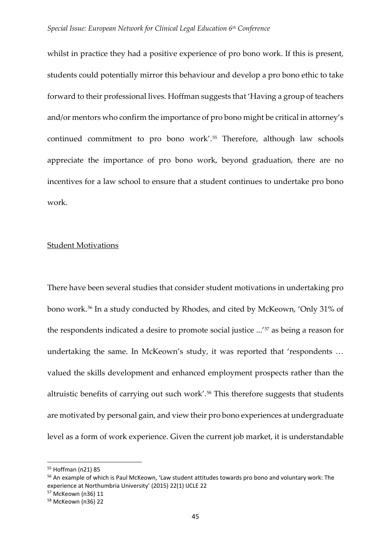whilst in practice they had a positive experience of pro bono work. If this is present, students could potentially mirror this behaviour and develop a pro bono ethic to take forward to their professional lives. Hoffman suggests that 'Having a group of teachers and/or mentors who confirm the importance of pro bono might be critical in attorney's continued commitment to pro bono work'. [55](#page-20-0) Therefore, although law schools appreciate the importance of pro bono work, beyond graduation, there are no incentives for a law school to ensure that a student continues to undertake pro bono work.

#### Student Motivations

There have been several studies that consider student motivations in undertaking pro bono work.[56](#page-20-1) In a study conducted by Rhodes, and cited by McKeown, 'Only 31% of the respondents indicated a desire to promote social justice ...'[57](#page-20-2) as being a reason for undertaking the same. In McKeown's study, it was reported that 'respondents … valued the skills development and enhanced employment prospects rather than the altruistic benefits of carrying out such work'.[58](#page-20-3) This therefore suggests that students are motivated by personal gain, and view their pro bono experiences at undergraduate level as a form of work experience. Given the current job market, it is understandable

<span id="page-20-0"></span> <sup>55</sup> Hoffman (n21) 85

<span id="page-20-1"></span><sup>56</sup> An example of which is Paul McKeown, 'Law student attitudes towards pro bono and voluntary work: The experience at Northumbria University' (2015) 22(1) IJCLE 22

<span id="page-20-2"></span><sup>57</sup> McKeown (n36) 11

<span id="page-20-3"></span><sup>58</sup> McKeown (n36) 22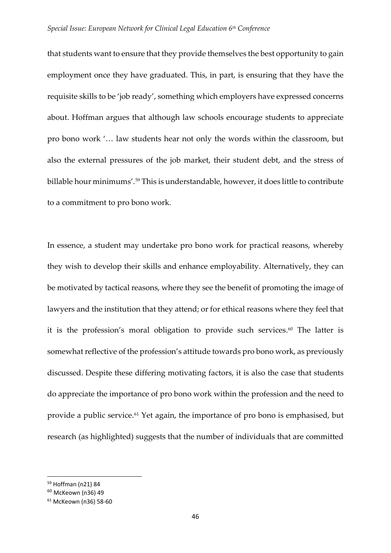that students want to ensure that they provide themselves the best opportunity to gain employment once they have graduated. This, in part, is ensuring that they have the requisite skills to be 'job ready', something which employers have expressed concerns about. Hoffman argues that although law schools encourage students to appreciate pro bono work '… law students hear not only the words within the classroom, but also the external pressures of the job market, their student debt, and the stress of billable hour minimums'. [59](#page-21-0) This is understandable, however, it does little to contribute to a commitment to pro bono work.

In essence, a student may undertake pro bono work for practical reasons, whereby they wish to develop their skills and enhance employability. Alternatively, they can be motivated by tactical reasons, where they see the benefit of promoting the image of lawyers and the institution that they attend; or for ethical reasons where they feel that it is the profession's moral obligation to provide such services. $60$  The latter is somewhat reflective of the profession's attitude towards pro bono work, as previously discussed. Despite these differing motivating factors, it is also the case that students do appreciate the importance of pro bono work within the profession and the need to provide a public service.<sup>[61](#page-21-2)</sup> Yet again, the importance of pro bono is emphasised, but research (as highlighted) suggests that the number of individuals that are committed

<span id="page-21-0"></span> <sup>59</sup> Hoffman (n21) 84

<span id="page-21-1"></span><sup>60</sup> McKeown (n36) 49

<span id="page-21-2"></span><sup>61</sup> McKeown (n36) 58-60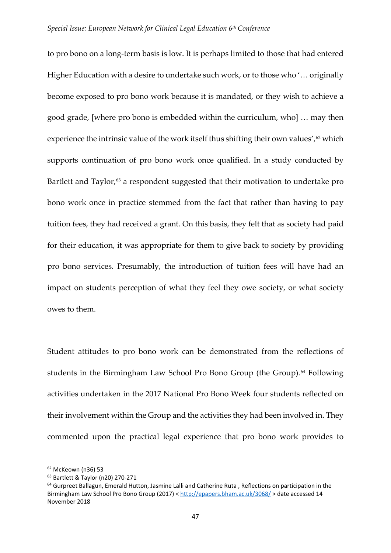to pro bono on a long-term basis is low. It is perhaps limited to those that had entered Higher Education with a desire to undertake such work, or to those who '… originally become exposed to pro bono work because it is mandated, or they wish to achieve a good grade, [where pro bono is embedded within the curriculum, who] … may then experience the intrinsic value of the work itself thus shifting their own values',<sup>[62](#page-22-0)</sup> which supports continuation of pro bono work once qualified. In a study conducted by Bartlett and Taylor,<sup>[63](#page-22-1)</sup> a respondent suggested that their motivation to undertake pro bono work once in practice stemmed from the fact that rather than having to pay tuition fees, they had received a grant. On this basis, they felt that as society had paid for their education, it was appropriate for them to give back to society by providing pro bono services. Presumably, the introduction of tuition fees will have had an impact on students perception of what they feel they owe society, or what society owes to them.

Student attitudes to pro bono work can be demonstrated from the reflections of students in the Birmingham Law School Pro Bono Group (the Group).<sup>[64](#page-22-2)</sup> Following activities undertaken in the 2017 National Pro Bono Week four students reflected on their involvement within the Group and the activities they had been involved in. They commented upon the practical legal experience that pro bono work provides to

<span id="page-22-0"></span> <sup>62</sup> McKeown (n36) 53

<span id="page-22-1"></span><sup>63</sup> Bartlett & Taylor (n20) 270-271

<span id="page-22-2"></span><sup>64</sup> Gurpreet Ballagun, Emerald Hutton, Jasmine Lalli and Catherine Ruta , Reflections on participation in the Birmingham Law School Pro Bono Group (2017) [< http://epapers.bham.ac.uk/3068/](http://epapers.bham.ac.uk/3068/) > date accessed 14 November 2018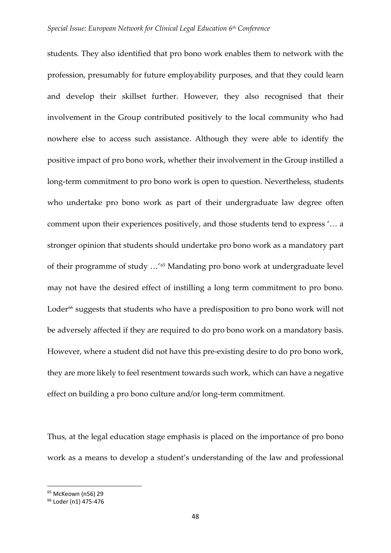students. They also identified that pro bono work enables them to network with the profession, presumably for future employability purposes, and that they could learn and develop their skillset further. However, they also recognised that their involvement in the Group contributed positively to the local community who had nowhere else to access such assistance. Although they were able to identify the positive impact of pro bono work, whether their involvement in the Group instilled a long-term commitment to pro bono work is open to question. Nevertheless, students who undertake pro bono work as part of their undergraduate law degree often comment upon their experiences positively, and those students tend to express '… a stronger opinion that students should undertake pro bono work as a mandatory part of their programme of study …'[65](#page-23-0) Mandating pro bono work at undergraduate level may not have the desired effect of instilling a long term commitment to pro bono. Loder<sup>[66](#page-23-1)</sup> suggests that students who have a predisposition to pro bono work will not be adversely affected if they are required to do pro bono work on a mandatory basis. However, where a student did not have this pre-existing desire to do pro bono work, they are more likely to feel resentment towards such work, which can have a negative effect on building a pro bono culture and/or long-term commitment.

Thus, at the legal education stage emphasis is placed on the importance of pro bono work as a means to develop a student's understanding of the law and professional

<span id="page-23-1"></span><span id="page-23-0"></span><sup>&</sup>lt;sup>65</sup> McKeown (n56) 29<br><sup>66</sup> Loder (n1) 475-476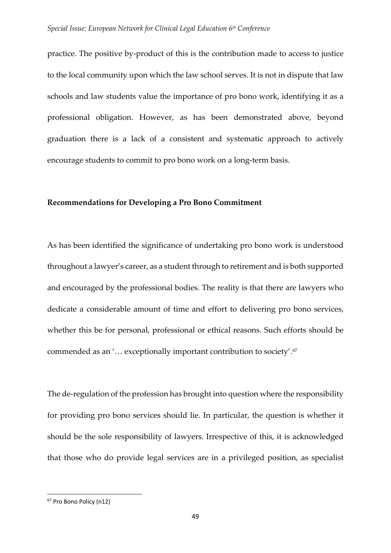practice. The positive by-product of this is the contribution made to access to justice to the local community upon which the law school serves. It is not in dispute that law schools and law students value the importance of pro bono work, identifying it as a professional obligation. However, as has been demonstrated above, beyond graduation there is a lack of a consistent and systematic approach to actively encourage students to commit to pro bono work on a long-term basis.

#### **Recommendations for Developing a Pro Bono Commitment**

As has been identified the significance of undertaking pro bono work is understood throughout a lawyer's career, as a student through to retirement and is both supported and encouraged by the professional bodies. The reality is that there are lawyers who dedicate a considerable amount of time and effort to delivering pro bono services, whether this be for personal, professional or ethical reasons. Such efforts should be commended as an '… exceptionally important contribution to society'.[67](#page-24-0)

The de-regulation of the profession has brought into question where the responsibility for providing pro bono services should lie. In particular, the question is whether it should be the sole responsibility of lawyers. Irrespective of this, it is acknowledged that those who do provide legal services are in a privileged position, as specialist

<span id="page-24-0"></span> <sup>67</sup> Pro Bono Policy (n12)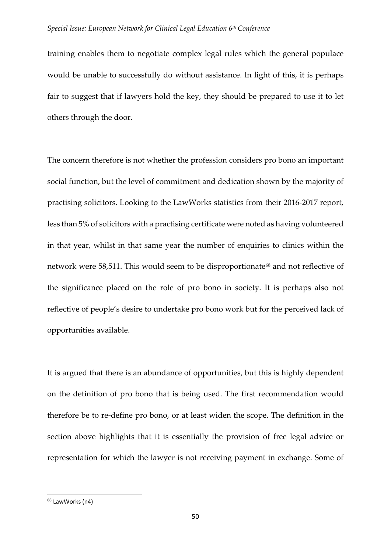training enables them to negotiate complex legal rules which the general populace would be unable to successfully do without assistance. In light of this, it is perhaps fair to suggest that if lawyers hold the key, they should be prepared to use it to let others through the door.

The concern therefore is not whether the profession considers pro bono an important social function, but the level of commitment and dedication shown by the majority of practising solicitors. Looking to the LawWorks statistics from their 2016-2017 report, less than 5% of solicitors with a practising certificate were noted as having volunteered in that year, whilst in that same year the number of enquiries to clinics within the network were 58,511. This would seem to be disproportionate<sup>[68](#page-25-0)</sup> and not reflective of the significance placed on the role of pro bono in society. It is perhaps also not reflective of people's desire to undertake pro bono work but for the perceived lack of opportunities available.

It is argued that there is an abundance of opportunities, but this is highly dependent on the definition of pro bono that is being used. The first recommendation would therefore be to re-define pro bono, or at least widen the scope. The definition in the section above highlights that it is essentially the provision of free legal advice or representation for which the lawyer is not receiving payment in exchange. Some of

<span id="page-25-0"></span> <sup>68</sup> LawWorks (n4)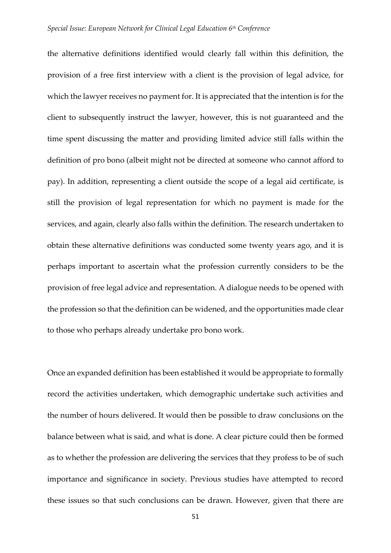the alternative definitions identified would clearly fall within this definition, the provision of a free first interview with a client is the provision of legal advice, for which the lawyer receives no payment for. It is appreciated that the intention is for the client to subsequently instruct the lawyer, however, this is not guaranteed and the time spent discussing the matter and providing limited advice still falls within the definition of pro bono (albeit might not be directed at someone who cannot afford to pay). In addition, representing a client outside the scope of a legal aid certificate, is still the provision of legal representation for which no payment is made for the services, and again, clearly also falls within the definition. The research undertaken to obtain these alternative definitions was conducted some twenty years ago, and it is perhaps important to ascertain what the profession currently considers to be the provision of free legal advice and representation. A dialogue needs to be opened with the profession so that the definition can be widened, and the opportunities made clear to those who perhaps already undertake pro bono work.

Once an expanded definition has been established it would be appropriate to formally record the activities undertaken, which demographic undertake such activities and the number of hours delivered. It would then be possible to draw conclusions on the balance between what is said, and what is done. A clear picture could then be formed as to whether the profession are delivering the services that they profess to be of such importance and significance in society. Previous studies have attempted to record these issues so that such conclusions can be drawn. However, given that there are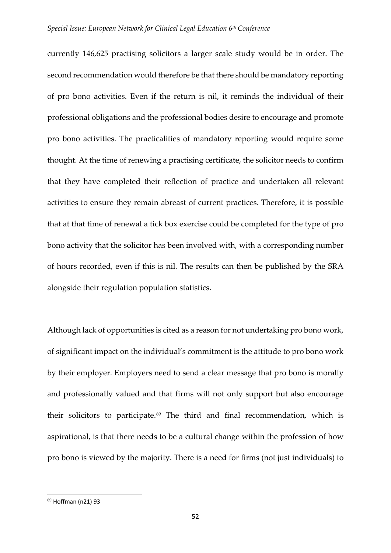currently 146,625 practising solicitors a larger scale study would be in order. The second recommendation would therefore be that there should be mandatory reporting of pro bono activities. Even if the return is nil, it reminds the individual of their professional obligations and the professional bodies desire to encourage and promote pro bono activities. The practicalities of mandatory reporting would require some thought. At the time of renewing a practising certificate, the solicitor needs to confirm that they have completed their reflection of practice and undertaken all relevant activities to ensure they remain abreast of current practices. Therefore, it is possible that at that time of renewal a tick box exercise could be completed for the type of pro bono activity that the solicitor has been involved with, with a corresponding number of hours recorded, even if this is nil. The results can then be published by the SRA alongside their regulation population statistics.

Although lack of opportunities is cited as a reason for not undertaking pro bono work, of significant impact on the individual's commitment is the attitude to pro bono work by their employer. Employers need to send a clear message that pro bono is morally and professionally valued and that firms will not only support but also encourage their solicitors to participate.<sup>[69](#page-27-0)</sup> The third and final recommendation, which is aspirational, is that there needs to be a cultural change within the profession of how pro bono is viewed by the majority. There is a need for firms (not just individuals) to

<span id="page-27-0"></span> <sup>69</sup> Hoffman (n21) 93